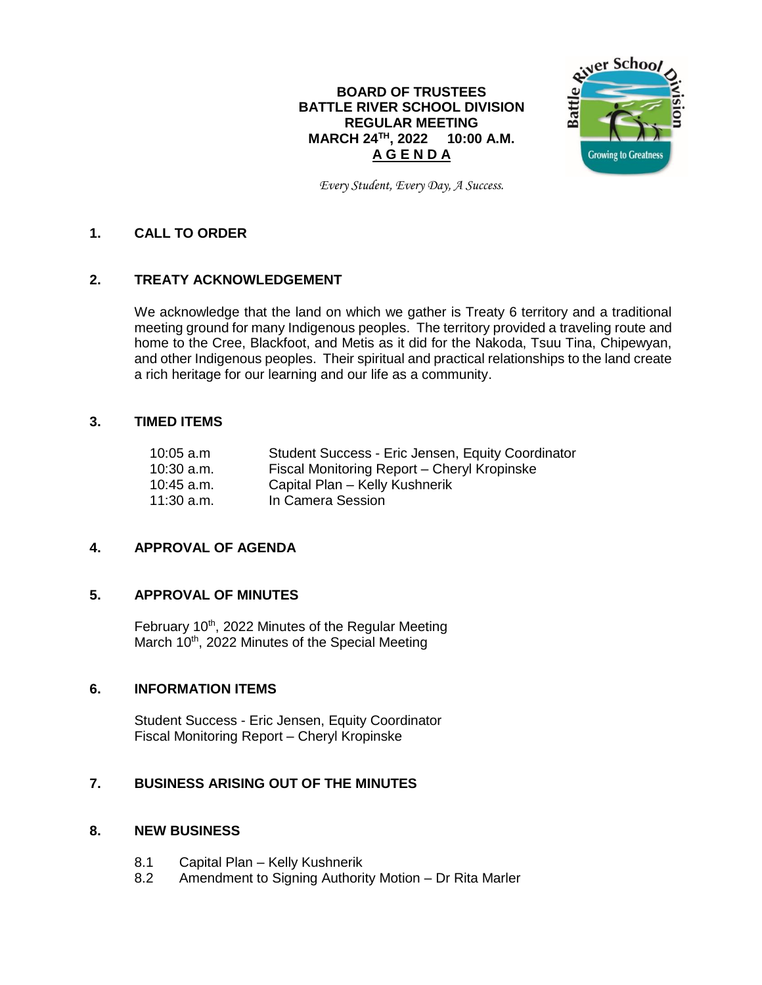## **BOARD OF TRUSTEES BATTLE RIVER SCHOOL DIVISION REGULAR MEETING MARCH 24TH , 2022 10:00 A.M. A G E N D A**



*Every Student, Every Day, A Success.*

## **1. CALL TO ORDER**

## **2. TREATY ACKNOWLEDGEMENT**

We acknowledge that the land on which we gather is Treaty 6 territory and a traditional meeting ground for many Indigenous peoples. The territory provided a traveling route and home to the Cree, Blackfoot, and Metis as it did for the Nakoda, Tsuu Tina, Chipewyan, and other Indigenous peoples. Their spiritual and practical relationships to the land create a rich heritage for our learning and our life as a community.

#### **3. TIMED ITEMS**

| $10:05$ a.m. | Student Success - Eric Jensen, Equity Coordinator |
|--------------|---------------------------------------------------|
| $10:30$ a.m. | Fiscal Monitoring Report - Cheryl Kropinske       |
| $10:45$ a.m. | Capital Plan - Kelly Kushnerik                    |
| $11:30$ a.m. | In Camera Session                                 |

## **4. APPROVAL OF AGENDA**

#### **5. APPROVAL OF MINUTES**

February 10<sup>th</sup>, 2022 Minutes of the Regular Meeting March 10<sup>th</sup>, 2022 Minutes of the Special Meeting

### **6. INFORMATION ITEMS**

Student Success - Eric Jensen, Equity Coordinator Fiscal Monitoring Report – Cheryl Kropinske

### **7. BUSINESS ARISING OUT OF THE MINUTES**

#### **8. NEW BUSINESS**

- 8.1 Capital Plan Kelly Kushnerik
- 8.2 Amendment to Signing Authority Motion Dr Rita Marler